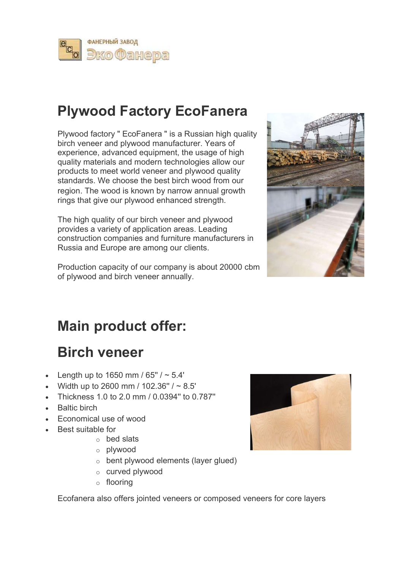

# Plywood Factory EcoFanera

Plywood factory " EсoFanera " is a Russian high quality birch veneer and plywood manufacturer. Years of experience, advanced equipment, the usage of high quality materials and modern technologies allow our products to meet world veneer and plywood quality standards. We choose the best birch wood from our region. The wood is known by narrow annual growth rings that give our plywood enhanced strength.

The high quality of our birch veneer and plywood provides a variety of application areas. Leading construction companies and furniture manufacturers in Russia and Europe are among our clients.

Production capacity of our company is about 20000 cbm of plywood and birch veneer annually.



# Main product offer:

# Birch veneer

- Length up to 1650 mm /  $65" / \sim 5.4'$
- Width up to 2600 mm / 102.36" / ~ 8.5'
- Thickness 1.0 to 2.0 mm / 0.0394'' to 0.787''
- Baltic birch
- Economical use of wood
- Best suitable for
	- o bed slats
	- o plywood
	- o bent plywood elements (layer glued)
	- o curved plywood
	- o flooring

Ecofanera also offers jointed veneers or composed veneers for core layers

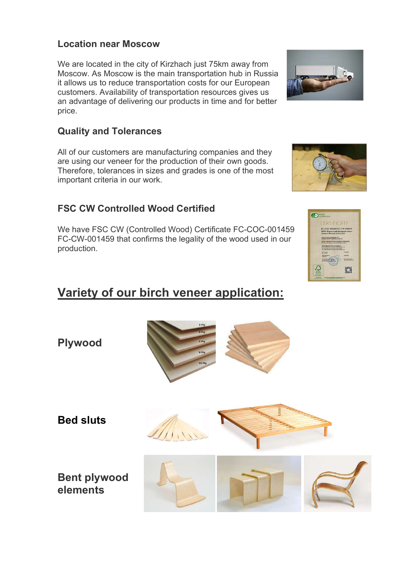#### Location near Moscow

We are located in the city of Kirzhach just 75km away from Moscow. As Moscow is the main transportation hub in Russia it allows us to reduce transportation costs for our European customers. Availability of transportation resources gives us an advantage of delivering our products in time and for better price.

#### Quality and Tolerances

All of our customers are manufacturing companies and they are using our veneer for the production of their own goods. Therefore, tolerances in sizes and grades is one of the most important criteria in our work.

### FSC CW Controlled Wood Certified

We have FSC CW (Controlled Wood) Certificate FC-COC-001459 FC-CW-001459 that confirms the legality of the wood used in our production.

### Variety of our birch veneer application: